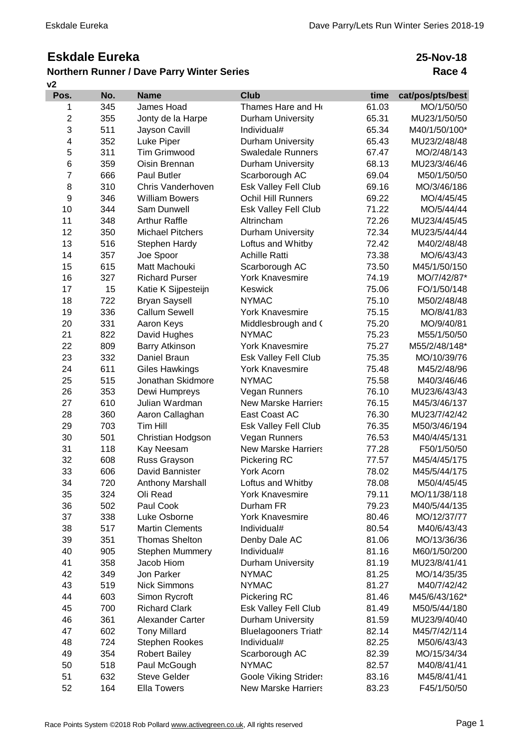## **Eskdale Eureka**

## **Northern Runner / Dave Parry Winter Series**

## **v2**

**25-Nov-18 Race 4**

| Pos.           | No. | <b>Name</b>             | <b>Club</b>                  | time  | cat/pos/pts/best |
|----------------|-----|-------------------------|------------------------------|-------|------------------|
| 1              | 345 | James Hoad              | Thames Hare and Ho           | 61.03 | MO/1/50/50       |
| $\overline{2}$ | 355 | Jonty de la Harpe       | Durham University            | 65.31 | MU23/1/50/50     |
| 3              | 511 | Jayson Cavill           | Individual#                  | 65.34 | M40/1/50/100*    |
| 4              | 352 | Luke Piper              | Durham University            | 65.43 | MU23/2/48/48     |
| 5              | 311 | <b>Tim Grimwood</b>     | <b>Swaledale Runners</b>     | 67.47 | MO/2/48/143      |
| $\,6$          | 359 | Oisin Brennan           | Durham University            | 68.13 | MU23/3/46/46     |
| $\overline{7}$ | 666 | Paul Butler             | Scarborough AC               | 69.04 | M50/1/50/50      |
| 8              | 310 | Chris Vanderhoven       | Esk Valley Fell Club         | 69.16 | MO/3/46/186      |
| 9              | 346 | <b>William Bowers</b>   | <b>Ochil Hill Runners</b>    | 69.22 | MO/4/45/45       |
| 10             | 344 | Sam Dunwell             | Esk Valley Fell Club         | 71.22 | MO/5/44/44       |
| 11             | 348 | <b>Arthur Raffle</b>    | Altrincham                   | 72.26 | MU23/4/45/45     |
| 12             | 350 | <b>Michael Pitchers</b> | <b>Durham University</b>     | 72.34 | MU23/5/44/44     |
| 13             | 516 | Stephen Hardy           | Loftus and Whitby            | 72.42 | M40/2/48/48      |
| 14             | 357 | Joe Spoor               | <b>Achille Ratti</b>         | 73.38 | MO/6/43/43       |
| 15             | 615 | Matt Machouki           | Scarborough AC               | 73.50 | M45/1/50/150     |
| 16             | 327 | <b>Richard Purser</b>   | <b>York Knavesmire</b>       | 74.19 | MO/7/42/87*      |
| 17             | 15  | Katie K Sijpesteijn     | Keswick                      | 75.06 | FO/1/50/148      |
| 18             | 722 | <b>Bryan Saysell</b>    | <b>NYMAC</b>                 | 75.10 | M50/2/48/48      |
| 19             | 336 | <b>Callum Sewell</b>    | <b>York Knavesmire</b>       | 75.15 | MO/8/41/83       |
| 20             | 331 | Aaron Keys              | Middlesbrough and (          | 75.20 | MO/9/40/81       |
| 21             | 822 | David Hughes            | <b>NYMAC</b>                 | 75.23 | M55/1/50/50      |
| 22             | 809 | <b>Barry Atkinson</b>   | <b>York Knavesmire</b>       | 75.27 | M55/2/48/148*    |
| 23             | 332 | Daniel Braun            | Esk Valley Fell Club         | 75.35 | MO/10/39/76      |
| 24             | 611 | <b>Giles Hawkings</b>   | <b>York Knavesmire</b>       | 75.48 | M45/2/48/96      |
| 25             | 515 | Jonathan Skidmore       | <b>NYMAC</b>                 | 75.58 | M40/3/46/46      |
| 26             | 353 | Dewi Humpreys           | Vegan Runners                | 76.10 | MU23/6/43/43     |
| 27             | 610 | Julian Wardman          | <b>New Marske Harriers</b>   | 76.15 | M45/3/46/137     |
| 28             | 360 | Aaron Callaghan         | East Coast AC                | 76.30 | MU23/7/42/42     |
| 29             | 703 | Tim Hill                | Esk Valley Fell Club         | 76.35 | M50/3/46/194     |
| 30             | 501 | Christian Hodgson       | Vegan Runners                | 76.53 | M40/4/45/131     |
| 31             | 118 | Kay Neesam              | <b>New Marske Harriers</b>   | 77.28 | F50/1/50/50      |
| 32             | 608 | Russ Grayson            | Pickering RC                 | 77.57 | M45/4/45/175     |
| 33             | 606 | David Bannister         | <b>York Acorn</b>            | 78.02 | M45/5/44/175     |
| 34             | 720 | Anthony Marshall        | Loftus and Whitby            | 78.08 | M50/4/45/45      |
| 35             | 324 | Oli Read                | York Knavesmire              | 79.11 | MO/11/38/118     |
| 36             | 502 | Paul Cook               | Durham FR                    | 79.23 | M40/5/44/135     |
| 37             | 338 | Luke Osborne            | <b>York Knavesmire</b>       | 80.46 | MO/12/37/77      |
| 38             | 517 | <b>Martin Clements</b>  | Individual#                  | 80.54 | M40/6/43/43      |
| 39             | 351 | <b>Thomas Shelton</b>   | Denby Dale AC                | 81.06 | MO/13/36/36      |
| 40             | 905 | <b>Stephen Mummery</b>  | Individual#                  | 81.16 | M60/1/50/200     |
| 41             | 358 | Jacob Hiom              | Durham University            | 81.19 | MU23/8/41/41     |
| 42             | 349 | Jon Parker              | <b>NYMAC</b>                 | 81.25 | MO/14/35/35      |
| 43             | 519 | <b>Nick Simmons</b>     | <b>NYMAC</b>                 | 81.27 | M40/7/42/42      |
| 44             | 603 | Simon Rycroft           | Pickering RC                 | 81.46 | M45/6/43/162*    |
| 45             | 700 | <b>Richard Clark</b>    | Esk Valley Fell Club         | 81.49 | M50/5/44/180     |
| 46             | 361 | Alexander Carter        | Durham University            | 81.59 | MU23/9/40/40     |
| 47             | 602 | <b>Tony Millard</b>     | <b>Bluelagooners Triath</b>  | 82.14 | M45/7/42/114     |
| 48             | 724 | Stephen Rookes          | Individual#                  | 82.25 | M50/6/43/43      |
| 49             | 354 | <b>Robert Bailey</b>    | Scarborough AC               | 82.39 | MO/15/34/34      |
| 50             | 518 | Paul McGough            | <b>NYMAC</b>                 | 82.57 | M40/8/41/41      |
| 51             | 632 | <b>Steve Gelder</b>     | <b>Goole Viking Striders</b> | 83.16 | M45/8/41/41      |
| 52             | 164 | <b>Ella Towers</b>      | <b>New Marske Harriers</b>   | 83.23 | F45/1/50/50      |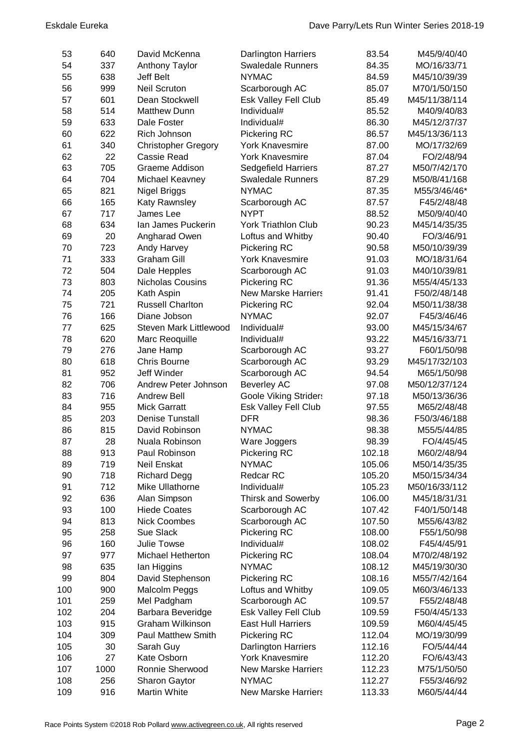| 53  | 640  | David McKenna                 | <b>Darlington Harriers</b>   | 83.54  | M45/9/40/40   |
|-----|------|-------------------------------|------------------------------|--------|---------------|
| 54  | 337  | <b>Anthony Taylor</b>         | <b>Swaledale Runners</b>     | 84.35  | MO/16/33/71   |
| 55  | 638  | Jeff Belt                     | <b>NYMAC</b>                 | 84.59  | M45/10/39/39  |
| 56  | 999  | <b>Neil Scruton</b>           | Scarborough AC               | 85.07  | M70/1/50/150  |
| 57  | 601  | Dean Stockwell                | Esk Valley Fell Club         | 85.49  | M45/11/38/114 |
| 58  | 514  | <b>Matthew Dunn</b>           | Individual#                  | 85.52  | M40/9/40/83   |
| 59  | 633  | Dale Foster                   | Individual#                  | 86.30  | M45/12/37/37  |
| 60  | 622  | Rich Johnson                  | Pickering RC                 | 86.57  | M45/13/36/113 |
| 61  | 340  | <b>Christopher Gregory</b>    | <b>York Knavesmire</b>       | 87.00  | MO/17/32/69   |
| 62  | 22   | Cassie Read                   | <b>York Knavesmire</b>       | 87.04  | FO/2/48/94    |
| 63  | 705  | Graeme Addison                | <b>Sedgefield Harriers</b>   | 87.27  | M50/7/42/170  |
| 64  | 704  | Michael Keavney               | <b>Swaledale Runners</b>     | 87.29  | M50/8/41/168  |
| 65  | 821  | Nigel Briggs                  | <b>NYMAC</b>                 | 87.35  | M55/3/46/46*  |
| 66  | 165  | Katy Rawnsley                 | Scarborough AC               | 87.57  | F45/2/48/48   |
| 67  | 717  | James Lee                     | <b>NYPT</b>                  | 88.52  | M50/9/40/40   |
| 68  | 634  | Ian James Puckerin            | <b>York Triathlon Club</b>   | 90.23  | M45/14/35/35  |
| 69  | 20   | Angharad Owen                 | Loftus and Whitby            | 90.40  | FO/3/46/91    |
| 70  | 723  | Andy Harvey                   | Pickering RC                 | 90.58  | M50/10/39/39  |
| 71  | 333  | <b>Graham Gill</b>            | <b>York Knavesmire</b>       | 91.03  | MO/18/31/64   |
| 72  | 504  | Dale Hepples                  | Scarborough AC               | 91.03  | M40/10/39/81  |
| 73  | 803  | <b>Nicholas Cousins</b>       | Pickering RC                 | 91.36  | M55/4/45/133  |
| 74  | 205  | Kath Aspin                    | <b>New Marske Harriers</b>   | 91.41  | F50/2/48/148  |
| 75  | 721  | <b>Russell Charlton</b>       | Pickering RC                 | 92.04  | M50/11/38/38  |
| 76  | 166  | Diane Jobson                  | <b>NYMAC</b>                 | 92.07  | F45/3/46/46   |
| 77  | 625  | <b>Steven Mark Littlewood</b> | Individual#                  | 93.00  | M45/15/34/67  |
| 78  | 620  | Marc Reoquille                | Individual#                  | 93.22  | M45/16/33/71  |
| 79  | 276  | Jane Hamp                     | Scarborough AC               | 93.27  | F60/1/50/98   |
| 80  | 618  | <b>Chris Bourne</b>           | Scarborough AC               | 93.29  | M45/17/32/103 |
| 81  | 952  | <b>Jeff Winder</b>            | Scarborough AC               | 94.54  | M65/1/50/98   |
| 82  | 706  | Andrew Peter Johnson          | <b>Beverley AC</b>           | 97.08  | M50/12/37/124 |
| 83  | 716  | <b>Andrew Bell</b>            | <b>Goole Viking Striders</b> | 97.18  | M50/13/36/36  |
| 84  | 955  | <b>Mick Garratt</b>           | Esk Valley Fell Club         | 97.55  | M65/2/48/48   |
| 85  | 203  | <b>Denise Tunstall</b>        | <b>DFR</b>                   | 98.36  | F50/3/46/188  |
| 86  | 815  | David Robinson                | <b>NYMAC</b>                 | 98.38  | M55/5/44/85   |
| 87  | 28   | Nuala Robinson                | Ware Joggers                 | 98.39  | FO/4/45/45    |
| 88  | 913  | Paul Robinson                 | <b>Pickering RC</b>          | 102.18 | M60/2/48/94   |
| 89  | 719  | Neil Enskat                   | <b>NYMAC</b>                 | 105.06 | M50/14/35/35  |
| 90  | 718  | <b>Richard Degg</b>           | <b>Redcar RC</b>             | 105.20 | M50/15/34/34  |
| 91  | 712  | Mike Ullathorne               | Individual#                  | 105.23 | M50/16/33/112 |
| 92  | 636  | Alan Simpson                  | <b>Thirsk and Sowerby</b>    | 106.00 | M45/18/31/31  |
| 93  | 100  | <b>Hiede Coates</b>           | Scarborough AC               | 107.42 | F40/1/50/148  |
| 94  | 813  | <b>Nick Coombes</b>           | Scarborough AC               | 107.50 | M55/6/43/82   |
| 95  | 258  | Sue Slack                     | Pickering RC                 | 108.00 | F55/1/50/98   |
| 96  | 160  | Julie Towse                   | Individual#                  | 108.02 | F45/4/45/91   |
| 97  | 977  | Michael Hetherton             | Pickering RC                 | 108.04 | M70/2/48/192  |
| 98  | 635  | lan Higgins                   | <b>NYMAC</b>                 | 108.12 | M45/19/30/30  |
| 99  | 804  | David Stephenson              | Pickering RC                 | 108.16 | M55/7/42/164  |
| 100 | 900  | Malcolm Peggs                 | Loftus and Whitby            | 109.05 | M60/3/46/133  |
| 101 | 259  | Mel Padgham                   | Scarborough AC               | 109.57 | F55/2/48/48   |
| 102 | 204  | Barbara Beveridge             | Esk Valley Fell Club         | 109.59 | F50/4/45/133  |
| 103 | 915  | Graham Wilkinson              | <b>East Hull Harriers</b>    | 109.59 | M60/4/45/45   |
| 104 | 309  | <b>Paul Matthew Smith</b>     | Pickering RC                 | 112.04 | MO/19/30/99   |
| 105 | 30   | Sarah Guy                     | <b>Darlington Harriers</b>   | 112.16 | FO/5/44/44    |
| 106 | 27   | Kate Osborn                   | <b>York Knavesmire</b>       | 112.20 | FO/6/43/43    |
| 107 | 1000 | Ronnie Sherwood               | <b>New Marske Harriers</b>   | 112.23 | M75/1/50/50   |
| 108 | 256  | Sharon Gaytor                 | <b>NYMAC</b>                 | 112.27 | F55/3/46/92   |
| 109 | 916  | Martin White                  | <b>New Marske Harriers</b>   | 113.33 | M60/5/44/44   |